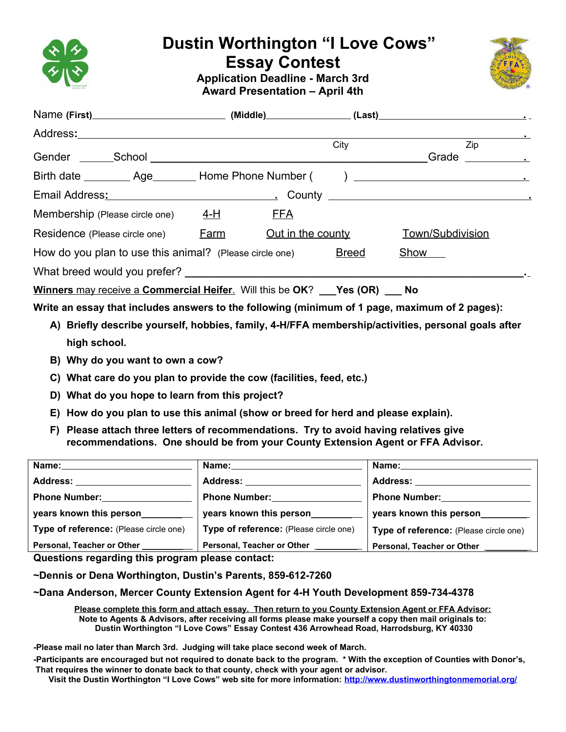

## **Dustin Worthington "I Love Cows"**

**Essay Contest** 



**Application Deadline - March 3rd Award Presentation – April 4th**

|                                                                                                                 |  |                          | City | Zip<br>Grade<br><u> 1989 - Jan Store, prima politik politik (</u> |  |
|-----------------------------------------------------------------------------------------------------------------|--|--------------------------|------|-------------------------------------------------------------------|--|
|                                                                                                                 |  |                          |      |                                                                   |  |
| Email Address: 1992. County 2006. County 2006. County 2006. County 2006. County 2006. County 2006. County 2006. |  |                          |      |                                                                   |  |
| Membership (Please circle one) $4-H$                                                                            |  | <b>FFA</b>               |      |                                                                   |  |
| Residence (Please circle one) Farm                                                                              |  | <u>Out in the county</u> |      | Town/Subdivision                                                  |  |
| How do you plan to use this animal? (Please circle one) Breed                                                   |  |                          |      | Show ____                                                         |  |
| What breed would you prefer?                                                                                    |  |                          |      |                                                                   |  |
| <b>Winners may receive a Commercial Heifer.</b> Will this be OK? Yes (OR)<br>No                                 |  |                          |      |                                                                   |  |

**Write an essay that includes answers to the following (minimum of 1 page, maximum of 2 pages):**

- **A) Briefly describe yourself, hobbies, family, 4-H/FFA membership/activities, personal goals after high school.**
- **B) Why do you want to own a cow?**
- **C) What care do you plan to provide the cow (facilities, feed, etc.)**
- **D) What do you hope to learn from this project?**
- **E) How do you plan to use this animal (show or breed for herd and please explain).**
- **F) Please attach three letters of recommendations. Try to avoid having relatives give recommendations. One should be from your County Extension Agent or FFA Advisor.**

| Name:                                  | Name: _____________________            | Name:                                  |
|----------------------------------------|----------------------------------------|----------------------------------------|
| <b>Address:</b>                        | Address:                               | Address: _                             |
| <b>Phone Number:</b>                   | <b>Phone Number:</b>                   | <b>Phone Number:</b>                   |
| years known this person_______         | years known this person                | years known this person__________      |
| Type of reference: (Please circle one) | Type of reference: (Please circle one) | Type of reference: (Please circle one) |
| Personal, Teacher or Other             | Personal, Teacher or Other             | Personal, Teacher or Other             |

**Questions regarding this program please contact:**

**~Dennis or Dena Worthington, Dustin's Parents, 859-612-7260**

**~Dana Anderson, Mercer County Extension Agent for 4-H Youth Development 859-734-4378**

**Please complete this form and attach essay. Then return to you County Extension Agent or FFA Advisor: Note to Agents & Advisors, after receiving all forms please make yourself a copy then mail originals to: Dustin Worthington "I Love Cows" Essay Contest 436 Arrowhead Road, Harrodsburg, KY 40330** 

**-Please mail no later than March 3rd. Judging will take place second week of March.**

**-Participants are encouraged but not required to donate back to the program. \* With the exception of Counties with Donor's, That requires the winner to donate back to that county, check with your agent or advisor.** 

**Visit the Dustin Worthington "I Love Cows" web site for more information:<http://www.dustinworthingtonmemorial.org/>**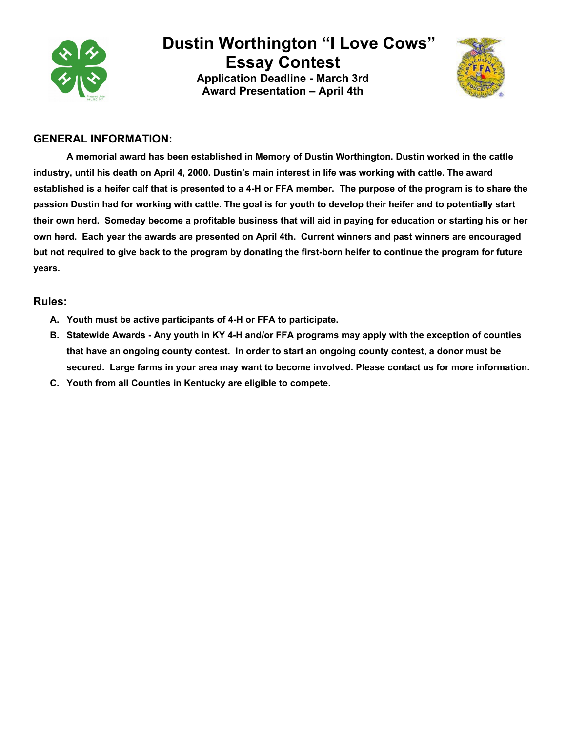

# **Dustin Worthington "I Love Cows"**

**Essay Contest Application Deadline - March 3rd Award Presentation – April 4th**



#### **GENERAL INFORMATION:**

**A memorial award has been established in Memory of Dustin Worthington. Dustin worked in the cattle industry, until his death on April 4, 2000. Dustin's main interest in life was working with cattle. The award established is a heifer calf that is presented to a 4-H or FFA member. The purpose of the program is to share the passion Dustin had for working with cattle. The goal is for youth to develop their heifer and to potentially start their own herd. Someday become a profitable business that will aid in paying for education or starting his or her own herd. Each year the awards are presented on April 4th. Current winners and past winners are encouraged but not required to give back to the program by donating the first-born heifer to continue the program for future years.**

#### **Rules:**

- **A. Youth must be active participants of 4-H or FFA to participate.**
- **B. Statewide Awards Any youth in KY 4-H and/or FFA programs may apply with the exception of counties that have an ongoing county contest. In order to start an ongoing county contest, a donor must be secured. Large farms in your area may want to become involved. Please contact us for more information.**
- **C. Youth from all Counties in Kentucky are eligible to compete.**